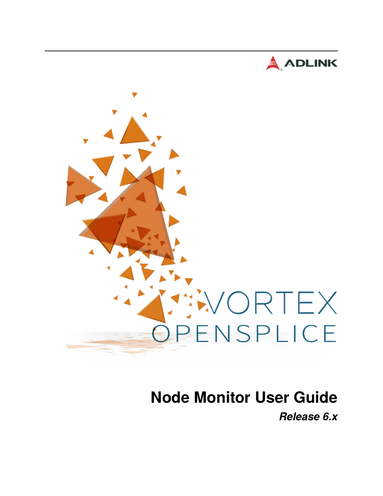



# **Node Monitor User Guide** *Release 6.x*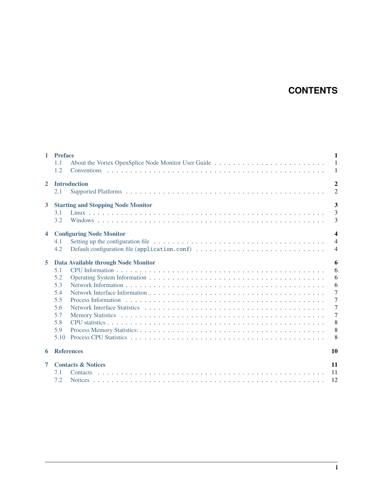# **CONTENTS**

| $\mathbf{1}$            | <b>Preface</b><br>About the Vortex OpenSplice Node Monitor User Guide<br>1.1<br>1.2                        | $\mathbf{1}$<br>$\mathbf{1}$<br>$\mathbf{1}$                                                            |
|-------------------------|------------------------------------------------------------------------------------------------------------|---------------------------------------------------------------------------------------------------------|
| $\overline{2}$          | <b>Introduction</b><br>2.1                                                                                 | $\overline{2}$<br>$\overline{c}$                                                                        |
| $\mathbf{3}$            | <b>Starting and Stopping Node Monitor</b><br>3.1<br>3.2                                                    | 3<br>3<br>$\overline{3}$                                                                                |
| $\overline{\mathbf{4}}$ | <b>Configuring Node Monitor</b><br>4.1<br>Default configuration file (application.conf)<br>4.2             | $\overline{\mathbf{4}}$<br>$\overline{4}$<br>$\overline{4}$                                             |
| 5                       | Data Available through Node Monitor<br>5.1<br>5.2<br>5.3<br>5.4<br>5.5<br>5.6<br>5.7<br>5.8<br>5.9<br>5.10 | 6<br>6<br>6<br>6<br>$\overline{7}$<br>$\overline{7}$<br>$\overline{7}$<br>$\overline{7}$<br>8<br>8<br>8 |
| 6                       | <b>References</b>                                                                                          | 10                                                                                                      |
| 7                       | <b>Contacts &amp; Notices</b><br>7.1<br>7.2                                                                | 11<br>11<br>12                                                                                          |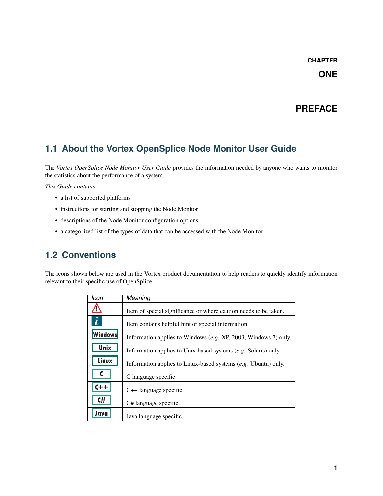### **ONE**

# **PREFACE**

# <span id="page-2-1"></span><span id="page-2-0"></span>**1.1 About the Vortex OpenSplice Node Monitor User Guide**

The *Vortex OpenSplice Node Monitor User Guide* provides the information needed by anyone who wants to monitor the statistics about the performance of a system.

*This Guide contains:*

- a list of supported platforms
- instructions for starting and stopping the Node Monitor
- descriptions of the Node Monitor configuration options
- a categorized list of the types of data that can be accessed with the Node Monitor

# <span id="page-2-2"></span>**1.2 Conventions**

The icons shown below are used in the Vortex product documentation to help readers to quickly identify information relevant to their specific use of OpenSplice.

| Icon           | <b>Meaning</b>                                                   |
|----------------|------------------------------------------------------------------|
|                | Item of special significance or where caution needs to be taken. |
| $\dot{i}$      | Item contains helpful hint or special information.               |
| <b>Windows</b> | Information applies to Windows (e.g. XP, 2003, Windows 7) only.  |
| Unix           | Information applies to Unix-based systems (e.g. Solaris) only.   |
| Linux          | Information applies to Linux-based systems $(e.g.$ Ubuntu) only. |
|                | C language specific.                                             |
| $C++$          | $C++$ language specific.                                         |
| C#             | C# language specific.                                            |
| Java           | Java language specific.                                          |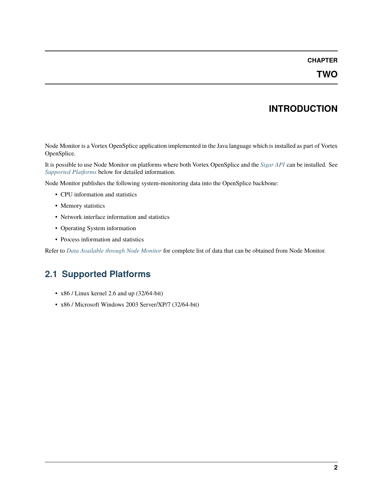# **INTRODUCTION**

<span id="page-3-0"></span>Node Monitor is a Vortex OpenSplice application implemented in the Java language which is installed as part of Vortex OpenSplice.

It is possible to use Node Monitor on platforms where both Vortex OpenSplice and the *[Sigar API](#page-11-1)* can be installed. See *[Supported Platforms](#page-3-1)* below for detailed information.

Node Monitor publishes the following system-monitoring data into the OpenSplice backbone:

- CPU information and statistics
- Memory statistics
- Network interface information and statistics
- Operating System information
- Process information and statistics

Refer to *[Data Available through Node Monitor](#page-7-0)* for complete list of data that can be obtained from Node Monitor.

# <span id="page-3-1"></span>**2.1 Supported Platforms**

- x86 / Linux kernel 2.6 and up (32/64-bit)
- x86 / Microsoft Windows 2003 Server/XP/7 (32/64-bit)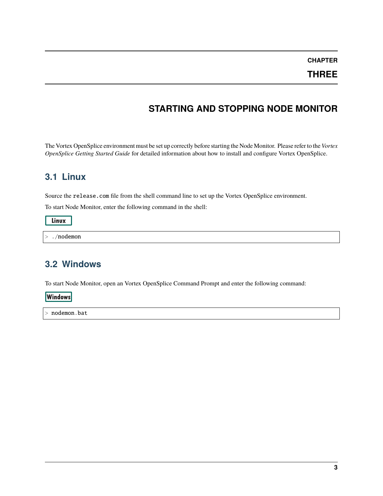#### **THREE**

# **STARTING AND STOPPING NODE MONITOR**

<span id="page-4-0"></span>The Vortex OpenSplice environment must be set up correctly before starting the Node Monitor. Please refer to the *Vortex OpenSplice Getting Started Guide* for detailed information about how to install and configure Vortex OpenSplice.

### <span id="page-4-1"></span>**3.1 Linux**

Source the release.com file from the shell command line to set up the Vortex OpenSplice environment.

To start Node Monitor, enter the following command in the shell:

Linux

> ./nodemon

### <span id="page-4-2"></span>**3.2 Windows**

To start Node Monitor, open an Vortex OpenSplice Command Prompt and enter the following command:

**Windows** 

> nodemon.bat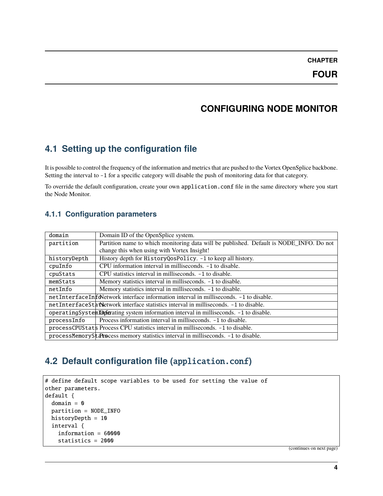### **CONFIGURING NODE MONITOR**

### <span id="page-5-1"></span><span id="page-5-0"></span>**4.1 Setting up the configuration file**

It is possible to control the frequency of the information and metrics that are pushed to the Vortex OpenSplice backbone. Setting the interval to -1 for a specific category will disable the push of monitoring data for that category.

To override the default configuration, create your own application.conf file in the same directory where you start the Node Monitor.

#### **4.1.1 Configuration parameters**

| domain                                                                                 | Domain ID of the OpenSplice system.                                                     |  |
|----------------------------------------------------------------------------------------|-----------------------------------------------------------------------------------------|--|
| partition                                                                              | Partition name to which monitoring data will be published. Default is NODE_INFO. Do not |  |
|                                                                                        | change this when using with Vortex Insight!                                             |  |
| historyDepth                                                                           | History depth for HistoryQosPolicy. -1 to keep all history.                             |  |
| cpuInfo                                                                                | CPU information interval in milliseconds. -1 to disable.                                |  |
| cpuStats                                                                               | CPU statistics interval in milliseconds. -1 to disable.                                 |  |
| memStats                                                                               | Memory statistics interval in milliseconds. -1 to disable.                              |  |
| netInfo                                                                                | Memory statistics interval in milliseconds. -1 to disable.                              |  |
| netInterfaceInfoNetwork interface information interval in milliseconds. -1 to disable. |                                                                                         |  |
|                                                                                        | netInterfaceStatVetwork interface statistics interval in milliseconds. -1 to disable.   |  |
| operatingSystemIDufcrating system information interval in milliseconds. -1 to disable. |                                                                                         |  |
| processInfo                                                                            | Process information interval in milliseconds. -1 to disable.                            |  |
| processCPUStats Process CPU statistics interval in milliseconds. -1 to disable.        |                                                                                         |  |
|                                                                                        | processMemoryStatistics interval in milliseconds. -1 to disable.                        |  |

# <span id="page-5-2"></span>**4.2 Default configuration file (**application.conf**)**

```
# define default scope variables to be used for setting the value of
other parameters.
default {
  domain = 0partition = NODE_INFO
 historyDepth = 10
  interval {
    information = 60000
    statistics = 2000
```
(continues on next page)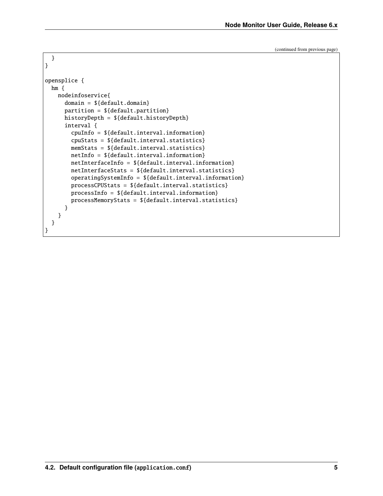(continued from previous page)

```
}
}
opensplice {
 hm {
    nodeinfoservice{
      domain = ${default.domain}
      partition = ${default.partition}
     historyDepth = ${default.historyDepth}
      interval {
        cpuInfo = ${default.interval.information}
        cpuStats = ${default.interval.statistics}
       memStats = ${default.interval.statistics}
       netInfo = ${default.interval.information}
       netInterfaceInfo = ${default.interval.information}
       netInterfaceStats = ${default.interval.statistics}
        operatingSystemInfo = ${default.interval.information}
        processCPUStats = ${default.interval.statistics}
       processInfo = ${default.interval.information}
       processMemoryStats = ${default.interval.statistics}
      }
    }
  }
}
```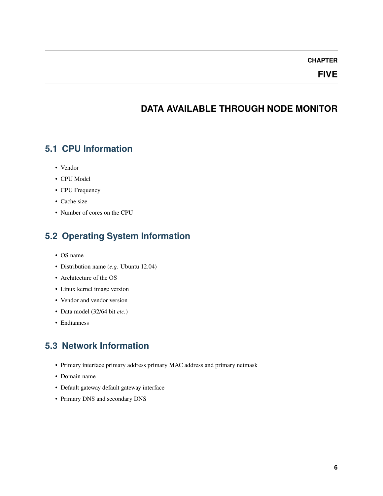#### **FIVE**

### **DATA AVAILABLE THROUGH NODE MONITOR**

#### <span id="page-7-1"></span><span id="page-7-0"></span>**5.1 CPU Information**

- Vendor
- CPU Model
- CPU Frequency
- Cache size
- Number of cores on the CPU

# <span id="page-7-2"></span>**5.2 Operating System Information**

- OS name
- Distribution name (*e.g.* Ubuntu 12.04)
- Architecture of the OS
- Linux kernel image version
- Vendor and vendor version
- Data model (32/64 bit *etc.*)
- Endianness

# <span id="page-7-3"></span>**5.3 Network Information**

- Primary interface primary address primary MAC address and primary netmask
- Domain name
- Default gateway default gateway interface
- Primary DNS and secondary DNS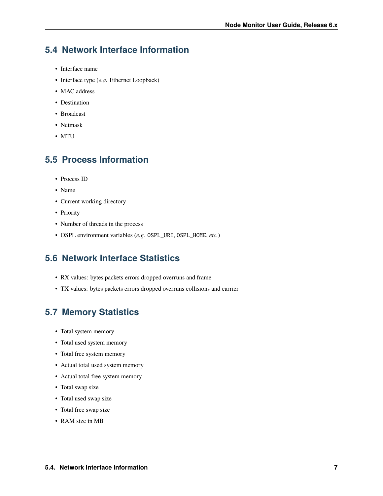### <span id="page-8-0"></span>**5.4 Network Interface Information**

- Interface name
- Interface type (*e.g.* Ethernet Loopback)
- MAC address
- Destination
- Broadcast
- Netmask
- MTU

### <span id="page-8-1"></span>**5.5 Process Information**

- Process ID
- Name
- Current working directory
- Priority
- Number of threads in the process
- OSPL environment variables (*e.g.* OSPL\_URI, OSPL\_HOME, *etc.*)

### <span id="page-8-2"></span>**5.6 Network Interface Statistics**

- RX values: bytes packets errors dropped overruns and frame
- TX values: bytes packets errors dropped overruns collisions and carrier

### <span id="page-8-3"></span>**5.7 Memory Statistics**

- Total system memory
- Total used system memory
- Total free system memory
- Actual total used system memory
- Actual total free system memory
- Total swap size
- Total used swap size
- Total free swap size
- RAM size in MB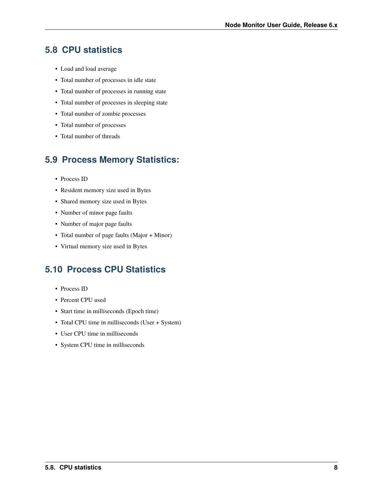### <span id="page-9-0"></span>**5.8 CPU statistics**

- Load and load average
- Total number of processes in idle state
- Total number of processes in running state
- Total number of processes in sleeping state
- Total number of zombie processes
- Total number of processes
- Total number of threads

# <span id="page-9-1"></span>**5.9 Process Memory Statistics:**

- Process ID
- Resident memory size used in Bytes
- Shared memory size used in Bytes
- Number of minor page faults
- Number of major page faults
- Total number of page faults (Major + Minor)
- Virtual memory size used in Bytes

# <span id="page-9-2"></span>**5.10 Process CPU Statistics**

- Process ID
- Percent CPU used
- Start time in milliseconds (Epoch time)
- Total CPU time in milliseconds (User + System)
- User CPU time in milliseconds
- System CPU time in milliseconds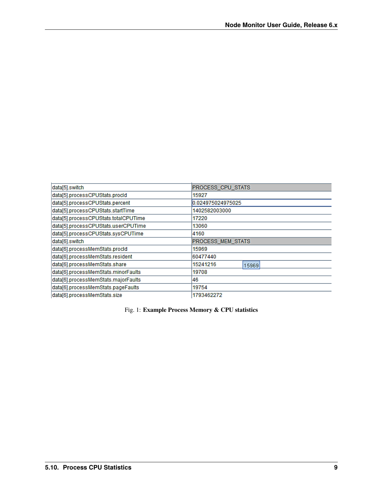| PROCESS_CPU_STATS        |  |
|--------------------------|--|
| 15927                    |  |
| 0.024975024975025        |  |
| 1402582003000            |  |
| 17220                    |  |
| 13060                    |  |
| 4160                     |  |
| <b>PROCESS MEM STATS</b> |  |
| 15969                    |  |
| 60477440                 |  |
| 15241216<br>15969        |  |
| 19708                    |  |
| 46                       |  |
| 19754                    |  |
| 1793462272               |  |
|                          |  |

#### Fig. 1: **Example Process Memory & CPU statistics**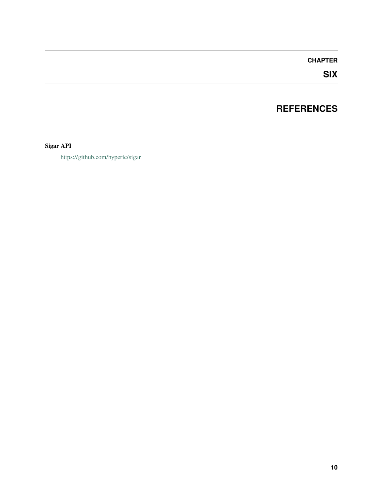# **SIX**

# **REFERENCES**

#### <span id="page-11-1"></span><span id="page-11-0"></span>**Sigar API**

<https://github.com/hyperic/sigar>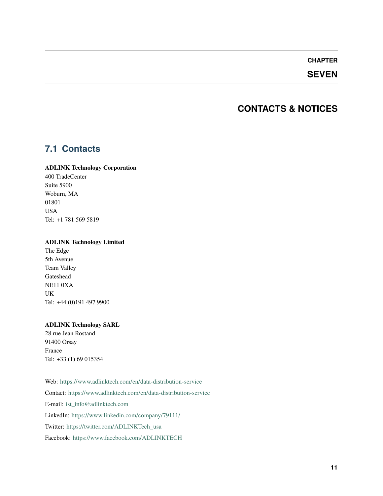#### **SEVEN**

### **CONTACTS & NOTICES**

### <span id="page-12-1"></span><span id="page-12-0"></span>**7.1 Contacts**

#### **ADLINK Technology Corporation**

400 TradeCenter Suite 5900 Woburn, MA 01801 USA Tel: +1 781 569 5819

#### **ADLINK Technology Limited**

The Edge 5th Avenue Team Valley Gateshead NE11 0XA UK Tel: +44 (0)191 497 9900

#### **ADLINK Technology SARL**

28 rue Jean Rostand 91400 Orsay France Tel: +33 (1) 69 015354

Web: <https://www.adlinktech.com/en/data-distribution-service> Contact: <https://www.adlinktech.com/en/data-distribution-service> E-mail: [ist\\_info@adlinktech.com](mailto:ist_info@adlinktech.com) LinkedIn: <https://www.linkedin.com/company/79111/> Twitter: [https://twitter.com/ADLINKTech\\_usa](https://twitter.com/ADLINKTech_usa) Facebook: <https://www.facebook.com/ADLINKTECH>